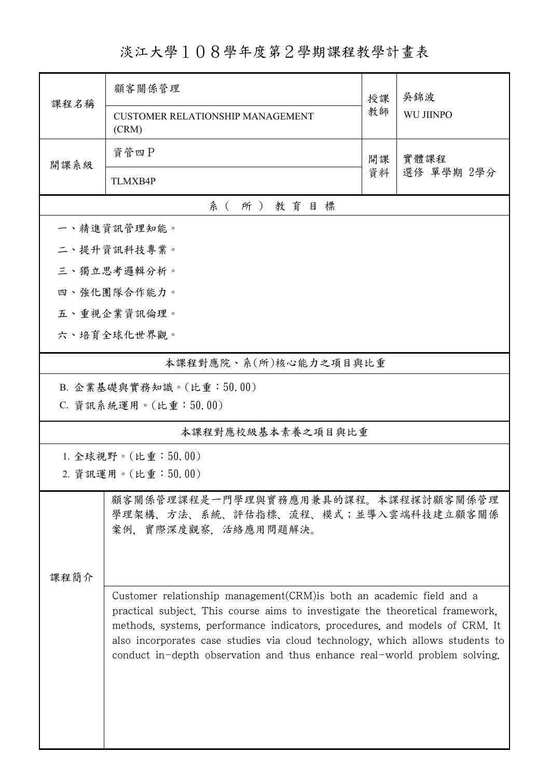淡江大學108學年度第2學期課程教學計畫表

|                                                                                                                                                                                                                                                                                                                                                                                                              | 顧客關係管理                                           | 授課         | 吳錦波<br><b>WU JIINPO</b> |  |  |  |  |  |
|--------------------------------------------------------------------------------------------------------------------------------------------------------------------------------------------------------------------------------------------------------------------------------------------------------------------------------------------------------------------------------------------------------------|--------------------------------------------------|------------|-------------------------|--|--|--|--|--|
| 課程名稱                                                                                                                                                                                                                                                                                                                                                                                                         | <b>CUSTOMER RELATIONSHIP MANAGEMENT</b><br>(CRM) | 教師         |                         |  |  |  |  |  |
|                                                                                                                                                                                                                                                                                                                                                                                                              | 資管四P                                             | 實體課程<br>開課 |                         |  |  |  |  |  |
| 開課系級                                                                                                                                                                                                                                                                                                                                                                                                         | <b>TLMXB4P</b>                                   | 資料         | 選修 單學期 2學分              |  |  |  |  |  |
| 系(所)教育目標                                                                                                                                                                                                                                                                                                                                                                                                     |                                                  |            |                         |  |  |  |  |  |
|                                                                                                                                                                                                                                                                                                                                                                                                              | 一、精進資訊管理知能。                                      |            |                         |  |  |  |  |  |
|                                                                                                                                                                                                                                                                                                                                                                                                              | 二、提升資訊科技專業。                                      |            |                         |  |  |  |  |  |
| 三、獨立思考邏輯分析。                                                                                                                                                                                                                                                                                                                                                                                                  |                                                  |            |                         |  |  |  |  |  |
|                                                                                                                                                                                                                                                                                                                                                                                                              | 四、強化團隊合作能力。                                      |            |                         |  |  |  |  |  |
|                                                                                                                                                                                                                                                                                                                                                                                                              | 五、重視企業資訊倫理。                                      |            |                         |  |  |  |  |  |
|                                                                                                                                                                                                                                                                                                                                                                                                              | 六、培育全球化世界觀。                                      |            |                         |  |  |  |  |  |
|                                                                                                                                                                                                                                                                                                                                                                                                              | 本課程對應院、系(所)核心能力之項目與比重                            |            |                         |  |  |  |  |  |
|                                                                                                                                                                                                                                                                                                                                                                                                              | B. 企業基礎與實務知識。(比重:50.00)                          |            |                         |  |  |  |  |  |
|                                                                                                                                                                                                                                                                                                                                                                                                              | C. 資訊系統運用。(比重:50.00)                             |            |                         |  |  |  |  |  |
| 本課程對應校級基本素養之項目與比重                                                                                                                                                                                                                                                                                                                                                                                            |                                                  |            |                         |  |  |  |  |  |
| 1. 全球視野。(比重:50.00)                                                                                                                                                                                                                                                                                                                                                                                           |                                                  |            |                         |  |  |  |  |  |
|                                                                                                                                                                                                                                                                                                                                                                                                              | 2. 資訊運用。(比重:50.00)                               |            |                         |  |  |  |  |  |
| 顧客關係管理課程是一門學理與實務應用兼具的課程。本課程探討顧客關係管理<br>學理架構、方法、系統、評估指標、流程、模式;並導入雲端科技建立顧客關係<br>案例, 實際深度觀察, 活絡應用問題解決。                                                                                                                                                                                                                                                                                                          |                                                  |            |                         |  |  |  |  |  |
| 課程簡介<br>Customer relationship management (CRM) is both an academic field and a<br>practical subject. This course aims to investigate the theoretical framework,<br>methods, systems, performance indicators, procedures, and models of CRM. It<br>also incorporates case studies via cloud technology, which allows students to<br>conduct in-depth observation and thus enhance real-world problem solving. |                                                  |            |                         |  |  |  |  |  |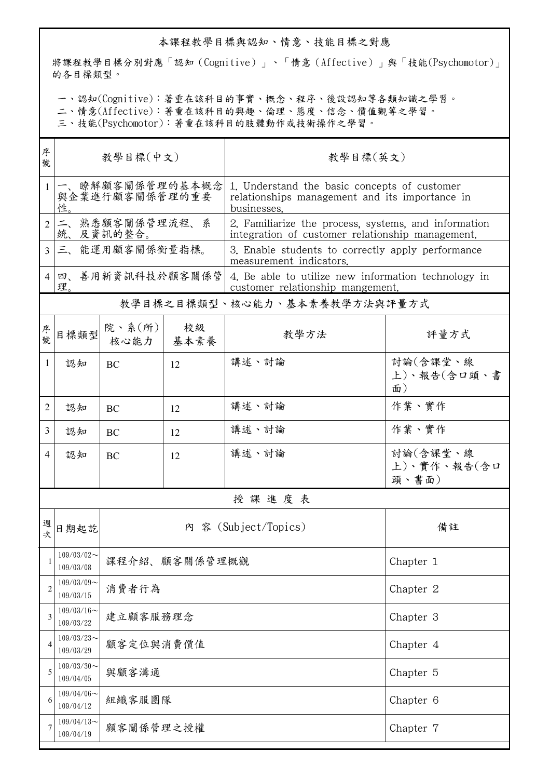## 本課程教學目標與認知、情意、技能目標之對應

將課程教學目標分別對應「認知(Cognitive)」、「情意(Affective)」與「技能(Psychomotor)」 的各目標類型。

一、認知(Cognitive):著重在該科目的事實、概念、程序、後設認知等各類知識之學習。

二、情意(Affective):著重在該科目的興趣、倫理、態度、信念、價值觀等之學習。

三、技能(Psychomotor):著重在該科目的肢體動作或技術操作之學習。

| 序<br>號         | 教學目標(中文)                                |                          |            | 教學目標(英文)                                                                                                      |                                  |  |  |  |
|----------------|-----------------------------------------|--------------------------|------------|---------------------------------------------------------------------------------------------------------------|----------------------------------|--|--|--|
| $\mathbf{1}$   | 一、瞭解顧客關係管理的基本概念<br>與企業進行顧客關係管理的重要<br>性. |                          |            | 1. Understand the basic concepts of customer<br>relationships management and its importance in<br>businesses. |                                  |  |  |  |
| $\overline{2}$ | 二、熟悉顧客關係管理流程、系<br>統、及資訊的整合。             |                          |            | 2. Familiarize the process, systems, and information<br>integration of customer relationship management.      |                                  |  |  |  |
| $\mathcal{E}$  | 三、能運用顧客關係衡量指標。                          |                          |            | 3. Enable students to correctly apply performance<br>measurement indicators.                                  |                                  |  |  |  |
| 4              | 四、善用新資訊科技於顧客關係管<br>理。                   |                          |            | 4. Be able to utilize new information technology in<br>customer relationship mangement.                       |                                  |  |  |  |
|                | 教學目標之目標類型、核心能力、基本素養教學方法與評量方式            |                          |            |                                                                                                               |                                  |  |  |  |
| 序號             | 目標類型                                    | 院、系 $(\text{m})$<br>核心能力 | 校級<br>基本素養 | 教學方法                                                                                                          | 評量方式                             |  |  |  |
| 1              | 認知                                      | BC                       | 12         | 講述、討論                                                                                                         | 討論(含課堂、線<br>上)、報告(含口頭、書<br>面)    |  |  |  |
| 2              | 認知                                      | BC                       | 12         | 講述、討論                                                                                                         | 作業、實作                            |  |  |  |
| 3              | 認知                                      | BC                       | 12         | 講述、討論                                                                                                         | 作業、實作                            |  |  |  |
| 4              | 認知                                      | BC                       | 12         | 講述、討論                                                                                                         | 討論(含課堂、線<br>上)、實作、報告(含口<br>頭、書面) |  |  |  |
|                | 授課進度表                                   |                          |            |                                                                                                               |                                  |  |  |  |
| 週<br>欤         | 日期起訖                                    |                          |            | 內 容 (Subject/Topics)                                                                                          | 備註                               |  |  |  |
|                | $109/03/02$ ~<br>109/03/08              | 課程介紹、顧客關係管理概觀            |            |                                                                                                               | Chapter 1                        |  |  |  |
| 2              | $109/03/09$ ~<br>109/03/15              | 消費者行為                    |            | Chapter 2                                                                                                     |                                  |  |  |  |
| 3              | $109/03/16$ ~<br>109/03/22              | 建立顧客服務理念                 |            |                                                                                                               | Chapter 3                        |  |  |  |
| 4              | $109/03/23$ ~<br>109/03/29              | 顧客定位與消費價值                |            |                                                                                                               | Chapter 4                        |  |  |  |
| 5              | $109/03/30$ ~<br>109/04/05              | 與顧客溝通                    | Chapter 5  |                                                                                                               |                                  |  |  |  |
| 6              | $109/04/06$ ~<br>109/04/12              | 組織客服團隊                   |            |                                                                                                               | Chapter 6                        |  |  |  |
| 7              | $109/04/13$ ~<br>109/04/19              | 顧客關係管理之授權                |            |                                                                                                               | Chapter 7                        |  |  |  |